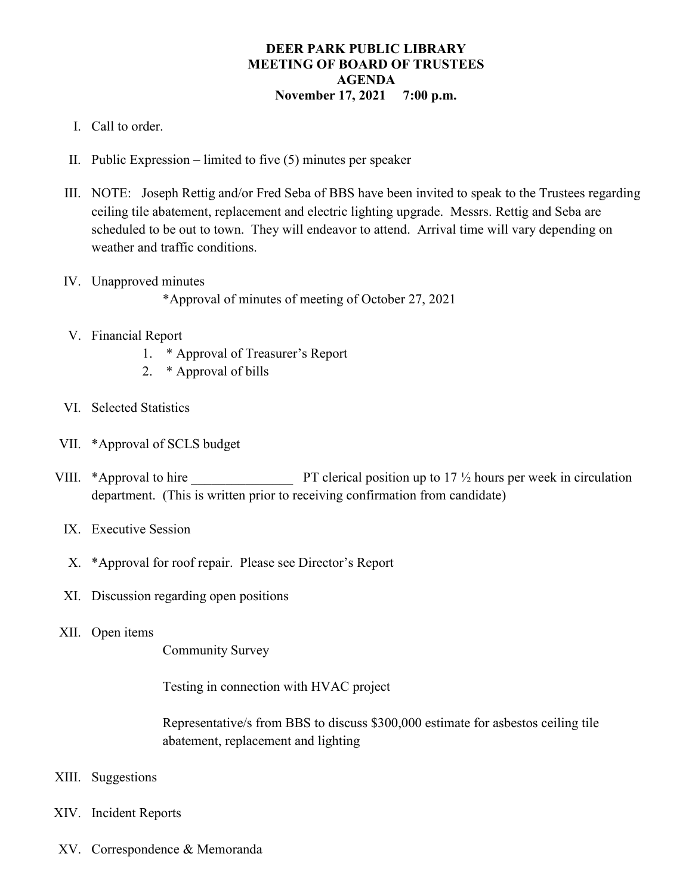## **DEER PARK PUBLIC LIBRARY MEETING OF BOARD OF TRUSTEES AGENDA November 17, 2021 7:00 p.m.**

- I. Call to order.
- II. Public Expression limited to five (5) minutes per speaker
- III. NOTE: Joseph Rettig and/or Fred Seba of BBS have been invited to speak to the Trustees regarding ceiling tile abatement, replacement and electric lighting upgrade. Messrs. Rettig and Seba are scheduled to be out to town. They will endeavor to attend. Arrival time will vary depending on weather and traffic conditions.
- IV. Unapproved minutes

\*Approval of minutes of meeting of October 27, 2021

- V. Financial Report
	- 1. \* Approval of Treasurer's Report
	- 2. \* Approval of bills
- VI. Selected Statistics
- VII. \*Approval of SCLS budget
- VIII. \*Approval to hire PT clerical position up to 17  $\frac{1}{2}$  hours per week in circulation department. (This is written prior to receiving confirmation from candidate)
	- IX. Executive Session
	- X. \*Approval for roof repair. Please see Director's Report
	- XI. Discussion regarding open positions
- XII. Open items

Community Survey

Testing in connection with HVAC project

Representative/s from BBS to discuss \$300,000 estimate for asbestos ceiling tile abatement, replacement and lighting

- XIII. Suggestions
- XIV. Incident Reports
- XV. Correspondence & Memoranda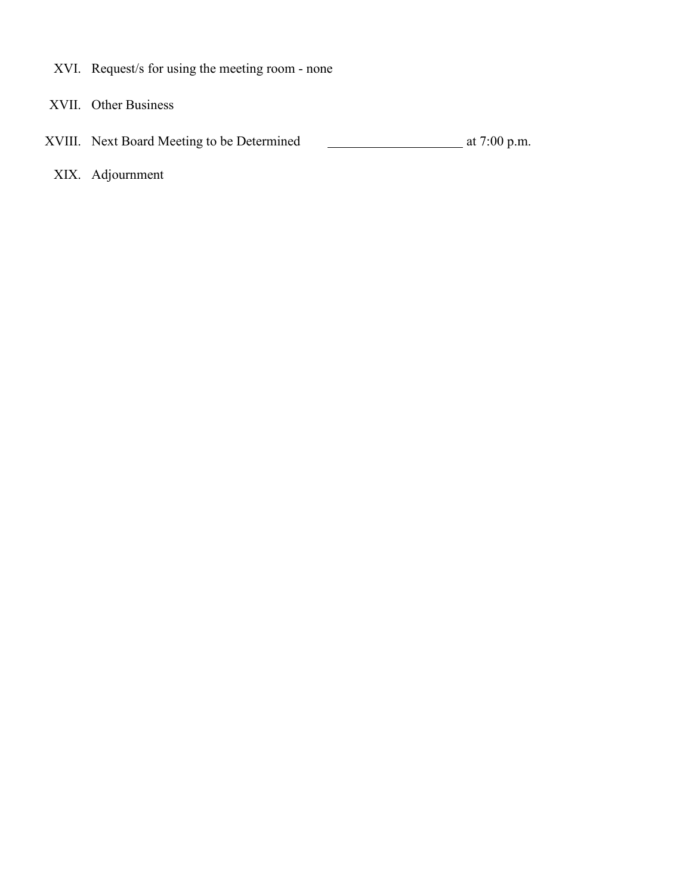- XVI. Request/s for using the meeting room none
- XVII. Other Business
- XVIII. Next Board Meeting to be Determined at 7:00 p.m.
	- XIX. Adjournment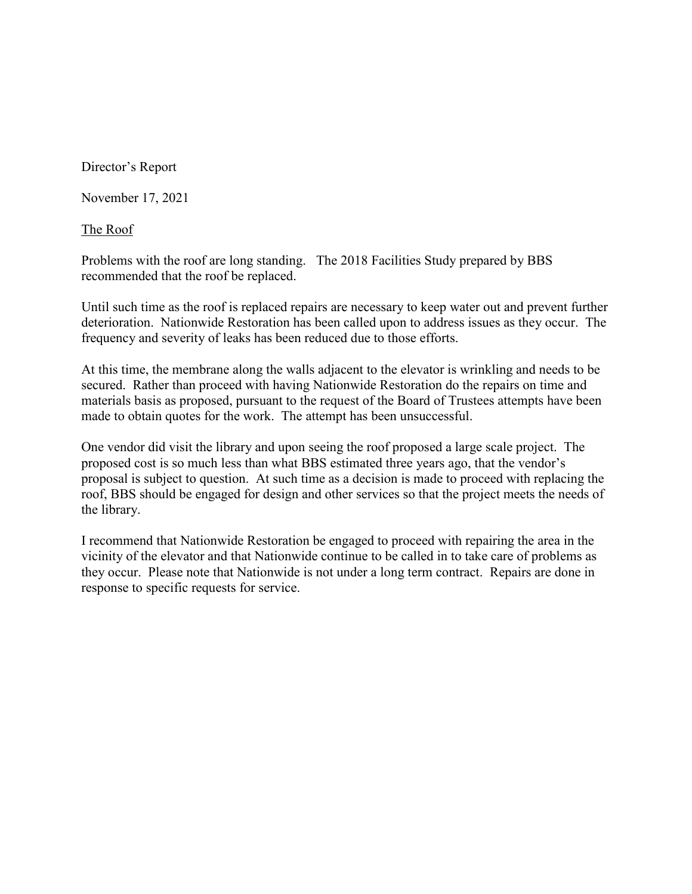Director's Report

November 17, 2021

The Roof

Problems with the roof are long standing. The 2018 Facilities Study prepared by BBS recommended that the roof be replaced.

Until such time as the roof is replaced repairs are necessary to keep water out and prevent further deterioration. Nationwide Restoration has been called upon to address issues as they occur. The frequency and severity of leaks has been reduced due to those efforts.

At this time, the membrane along the walls adjacent to the elevator is wrinkling and needs to be secured. Rather than proceed with having Nationwide Restoration do the repairs on time and materials basis as proposed, pursuant to the request of the Board of Trustees attempts have been made to obtain quotes for the work. The attempt has been unsuccessful.

One vendor did visit the library and upon seeing the roof proposed a large scale project. The proposed cost is so much less than what BBS estimated three years ago, that the vendor's proposal is subject to question. At such time as a decision is made to proceed with replacing the roof, BBS should be engaged for design and other services so that the project meets the needs of the library.

I recommend that Nationwide Restoration be engaged to proceed with repairing the area in the vicinity of the elevator and that Nationwide continue to be called in to take care of problems as they occur. Please note that Nationwide is not under a long term contract. Repairs are done in response to specific requests for service.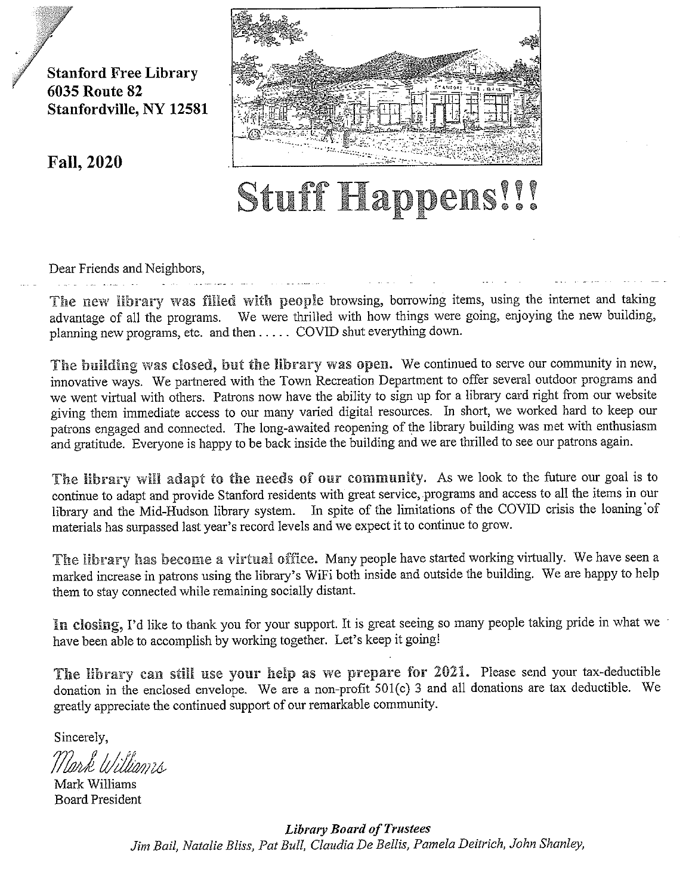**Stanford Free Library 6035 Route 82** Stanfordville, NY 12581

**Fall, 2020** 



## Stuff Happens!!!

Dear Friends and Neighbors,

The new library was filled with people browsing, borrowing items, using the internet and taking advantage of all the programs. We were thrilled with how things were going, enjoying the new building, planning new programs, etc. and then ..... COVID shut everything down.

The building was closed, but the library was open. We continued to serve our community in new, innovative ways. We partnered with the Town Recreation Department to offer several outdoor programs and we went virtual with others. Patrons now have the ability to sign up for a library card right from our website giving them immediate access to our many varied digital resources. In short, we worked hard to keep our patrons engaged and connected. The long-awaited reopening of the library building was met with enthusiasm and gratitude. Everyone is happy to be back inside the building and we are thrilled to see our patrons again.

The library will adapt to the needs of our community. As we look to the future our goal is to continue to adapt and provide Stanford residents with great service, programs and access to all the items in our library and the Mid-Hudson library system. In spite of the limitations of the COVID crisis the loaning of materials has surpassed last year's record levels and we expect it to continue to grow.

The library has become a virtual office. Many people have started working virtually. We have seen a marked increase in patrons using the library's WiFi both inside and outside the building. We are happy to help them to stay connected while remaining socially distant.

In closing, I'd like to thank you for your support. It is great seeing so many people taking pride in what we have been able to accomplish by working together. Let's keep it going!

The library can still use your help as we prepare for 2021. Please send your tax-deductible donation in the enclosed envelope. We are a non-profit 501(c) 3 and all donations are tax deductible. We greatly appreciate the continued support of our remarkable community.

Sincerely,

Mark Williams **Board President** 

**Library Board of Trustees** Jim Bail, Natalie Bliss, Pat Bull, Claudia De Bellis, Pamela Deitrich, John Shanley,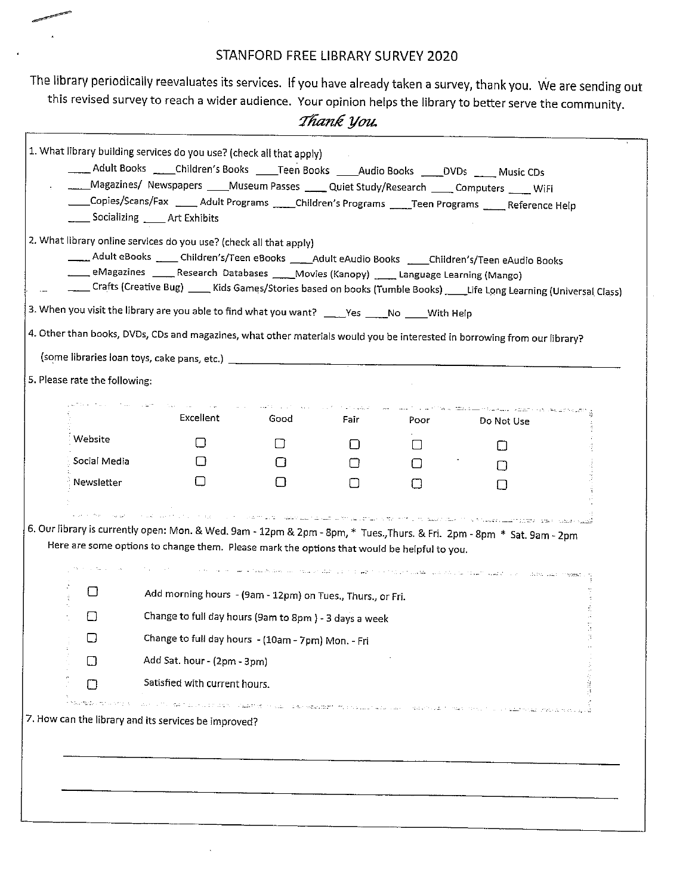## STANFORD FREE LIBRARY SURVEY 2020

The library periodically reevaluates its services. If you have already taken a survey, thank you. We are sending out this revised survey to reach a wider audience. Your opinion helps the library to better serve the community.

## Thank you.

|                               | 2. What library online services do you use? (check all that apply)<br>Adult eBooks _____ Children's/Teen eBooks ____Adult eAudio Books ____Children's/Teen eAudio Books<br>eMagazines _____ Research Databases _____Movies (Kanopy) ______ Language Learning (Mango)<br>Crafts (Creative Bug) _____ Kids Games/Stories based on books (Tumble Books) _____ Life Long Learning (Universal Class)                                                            |                                                                                                                                                                                                                                                                                                                                                                                                                                                                                                                                                                                               |                  |                                                                                                                 |                                                                                                                |  |
|-------------------------------|------------------------------------------------------------------------------------------------------------------------------------------------------------------------------------------------------------------------------------------------------------------------------------------------------------------------------------------------------------------------------------------------------------------------------------------------------------|-----------------------------------------------------------------------------------------------------------------------------------------------------------------------------------------------------------------------------------------------------------------------------------------------------------------------------------------------------------------------------------------------------------------------------------------------------------------------------------------------------------------------------------------------------------------------------------------------|------------------|-----------------------------------------------------------------------------------------------------------------|----------------------------------------------------------------------------------------------------------------|--|
|                               | 3. When you visit the library are you able to find what you want? ____Yes _____No ____With Help                                                                                                                                                                                                                                                                                                                                                            |                                                                                                                                                                                                                                                                                                                                                                                                                                                                                                                                                                                               |                  |                                                                                                                 |                                                                                                                |  |
|                               | 4. Other than books, DVDs, CDs and magazines, what other materials would you be interested in borrowing from our library?                                                                                                                                                                                                                                                                                                                                  |                                                                                                                                                                                                                                                                                                                                                                                                                                                                                                                                                                                               |                  |                                                                                                                 |                                                                                                                |  |
|                               |                                                                                                                                                                                                                                                                                                                                                                                                                                                            |                                                                                                                                                                                                                                                                                                                                                                                                                                                                                                                                                                                               |                  |                                                                                                                 |                                                                                                                |  |
| 5. Please rate the following: |                                                                                                                                                                                                                                                                                                                                                                                                                                                            |                                                                                                                                                                                                                                                                                                                                                                                                                                                                                                                                                                                               |                  |                                                                                                                 |                                                                                                                |  |
|                               | Excellent                                                                                                                                                                                                                                                                                                                                                                                                                                                  | $\label{eq:2.1} \omega_{\alpha}(\mathbf{r}) = \cos\left(\mathbf{r}^{\alpha}(\mathbf{r})\right) \left(\mathbf{r}^{\alpha}(\mathbf{r}) - \mathbf{r}^{\alpha}(\mathbf{r})\right) \left(\mathbf{r}^{\alpha}(\mathbf{r}) - \mathbf{r}^{\alpha}(\mathbf{r})\right) \left(\mathbf{r}^{\alpha}(\mathbf{r}) - \mathbf{r}^{\alpha}(\mathbf{r})\right) \left(\mathbf{r}^{\alpha}(\mathbf{r}) - \mathbf{r}^{\alpha}(\mathbf{r})\right) \left(\mathbf{r}^{\alpha}(\mathbf{r}) - \mathbf{$<br>Good in the season of the season of the season of the season of the season of the season of the season of the | Fair <b>Fair</b> | Poor to the control of the control of the control of the control of the control of the control of the control o | we consist to with the scription of the component of the Trivial Constanting of<br>Do Not Use                  |  |
| Website                       | □                                                                                                                                                                                                                                                                                                                                                                                                                                                          | ĿГ                                                                                                                                                                                                                                                                                                                                                                                                                                                                                                                                                                                            | ΙI               | $\Box$                                                                                                          | Ħ                                                                                                              |  |
| Social Media                  | ΙI                                                                                                                                                                                                                                                                                                                                                                                                                                                         | U                                                                                                                                                                                                                                                                                                                                                                                                                                                                                                                                                                                             | $\Box$           | $\Box$                                                                                                          | $\perp$                                                                                                        |  |
| Newsletter                    | $\mathsf{L}$                                                                                                                                                                                                                                                                                                                                                                                                                                               | U                                                                                                                                                                                                                                                                                                                                                                                                                                                                                                                                                                                             | $\vert \ \vert$  | П                                                                                                               | $\Box$                                                                                                         |  |
|                               |                                                                                                                                                                                                                                                                                                                                                                                                                                                            |                                                                                                                                                                                                                                                                                                                                                                                                                                                                                                                                                                                               |                  |                                                                                                                 |                                                                                                                |  |
| ◘                             | את המצואת האת השתליטות המוסגרות המוסגמת בין היא להמוצג ביותו שומות ומשפט מומידים היא היא היא היא היא היא היא ה<br>אין אין האת האת המוניטות המוסגמות המוסגמת המוסגמות בין של המוסגמות המוניטות היא היא היא היא היא היא היא היא הי<br>6. Our library is currently open: Mon. & Wed. 9am - 12pm & 2pm - 8pm, * Tues., Thurs. & Fri. 2pm - 8pm * Sat. 9am - 2pm<br>Here are some options to change them. Please mark the options that would be helpful to you. |                                                                                                                                                                                                                                                                                                                                                                                                                                                                                                                                                                                               |                  |                                                                                                                 | والعلاوة التي وول الحال عليه البوار فالكروب في العبير الرواحة العلوم في الأراضة الإسلام بمرحلة فللكر والتراحيب |  |
| $\Box$                        | Add morning hours - (9am - 12pm) on Tues., Thurs., or Fri.                                                                                                                                                                                                                                                                                                                                                                                                 |                                                                                                                                                                                                                                                                                                                                                                                                                                                                                                                                                                                               |                  |                                                                                                                 |                                                                                                                |  |
| □                             | Change to full day hours (9am to 8pm) - 3 days a week                                                                                                                                                                                                                                                                                                                                                                                                      |                                                                                                                                                                                                                                                                                                                                                                                                                                                                                                                                                                                               |                  |                                                                                                                 |                                                                                                                |  |
|                               | Change to full day hours - (10am - 7pm) Mon. - Fri                                                                                                                                                                                                                                                                                                                                                                                                         |                                                                                                                                                                                                                                                                                                                                                                                                                                                                                                                                                                                               |                  |                                                                                                                 |                                                                                                                |  |
| ⊓                             | Add Sat. hour - (2pm - 3pm)                                                                                                                                                                                                                                                                                                                                                                                                                                |                                                                                                                                                                                                                                                                                                                                                                                                                                                                                                                                                                                               |                  |                                                                                                                 |                                                                                                                |  |
| П                             | Satisfied with current hours.                                                                                                                                                                                                                                                                                                                                                                                                                              |                                                                                                                                                                                                                                                                                                                                                                                                                                                                                                                                                                                               |                  |                                                                                                                 |                                                                                                                |  |
|                               | ם.<br>בתקופת את שמו שבוא שבת היה המיני מציר הבפרסומת האם פתוח של שבת המשמשים של הבת האימפיה מתוחדת המתקנים של היה המ<br>7. How can the library and its services be improved?                                                                                                                                                                                                                                                                               |                                                                                                                                                                                                                                                                                                                                                                                                                                                                                                                                                                                               |                  |                                                                                                                 |                                                                                                                |  |
|                               |                                                                                                                                                                                                                                                                                                                                                                                                                                                            |                                                                                                                                                                                                                                                                                                                                                                                                                                                                                                                                                                                               |                  |                                                                                                                 |                                                                                                                |  |